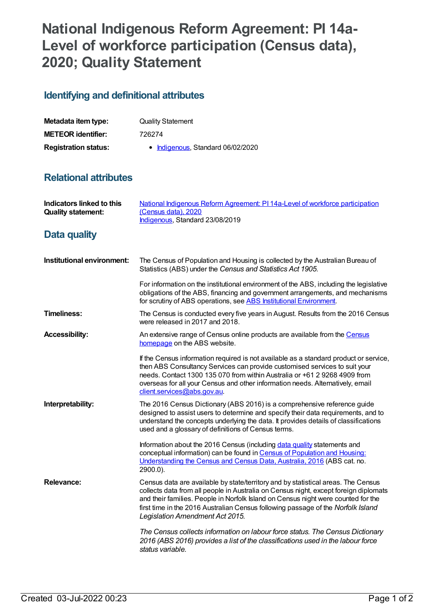# **National Indigenous Reform Agreement: PI 14a-Level of workforce participation (Census data), 2020; Quality Statement**

## **Identifying and definitional attributes**

| Metadata item type:         | <b>Quality Statement</b>          |
|-----------------------------|-----------------------------------|
| <b>METEOR identifier:</b>   | 726274                            |
| <b>Registration status:</b> | • Indigenous, Standard 06/02/2020 |

#### **Relational attributes**

| <b>Indicators linked to this</b><br><b>Quality statement:</b> | National Indigenous Reform Agreement: PI 14a-Level of workforce participation<br>(Census data), 2020<br>Indigenous, Standard 23/08/2019                                                                                                                                                                                                                                               |
|---------------------------------------------------------------|---------------------------------------------------------------------------------------------------------------------------------------------------------------------------------------------------------------------------------------------------------------------------------------------------------------------------------------------------------------------------------------|
| <b>Data quality</b>                                           |                                                                                                                                                                                                                                                                                                                                                                                       |
| Institutional environment:                                    | The Census of Population and Housing is collected by the Australian Bureau of<br>Statistics (ABS) under the Census and Statistics Act 1905.                                                                                                                                                                                                                                           |
|                                                               | For information on the institutional environment of the ABS, including the legislative<br>obligations of the ABS, financing and government arrangements, and mechanisms<br>for scrutiny of ABS operations, see ABS Institutional Environment.                                                                                                                                         |
| <b>Timeliness:</b>                                            | The Census is conducted every five years in August. Results from the 2016 Census<br>were released in 2017 and 2018.                                                                                                                                                                                                                                                                   |
| <b>Accessibility:</b>                                         | An extensive range of Census online products are available from the Census<br>homepage on the ABS website.                                                                                                                                                                                                                                                                            |
|                                                               | If the Census information required is not available as a standard product or service,<br>then ABS Consultancy Services can provide customised services to suit your<br>needs. Contact 1300 135 070 from within Australia or +61 2 9268 4909 from<br>overseas for all your Census and other information needs. Alternatively, email<br>client.services@abs.gov.au.                     |
| Interpretability:                                             | The 2016 Census Dictionary (ABS 2016) is a comprehensive reference guide<br>designed to assist users to determine and specify their data requirements, and to<br>understand the concepts underlying the data. It provides details of classifications<br>used and a glossary of definitions of Census terms.                                                                           |
|                                                               | Information about the 2016 Census (including data quality statements and<br>conceptual information) can be found in Census of Population and Housing:<br>Understanding the Census and Census Data, Australia, 2016 (ABS cat. no.<br>$2900.0$ ).                                                                                                                                       |
| <b>Relevance:</b>                                             | Census data are available by state/territory and by statistical areas. The Census<br>collects data from all people in Australia on Census night, except foreign diplomats<br>and their families. People in Norfolk Island on Census night were counted for the<br>first time in the 2016 Australian Census following passage of the Norfolk Island<br>Legislation Amendment Act 2015. |
|                                                               | The Census collects information on labour force status. The Census Dictionary<br>2016 (ABS 2016) provides a list of the classifications used in the labour force<br>status variable.                                                                                                                                                                                                  |